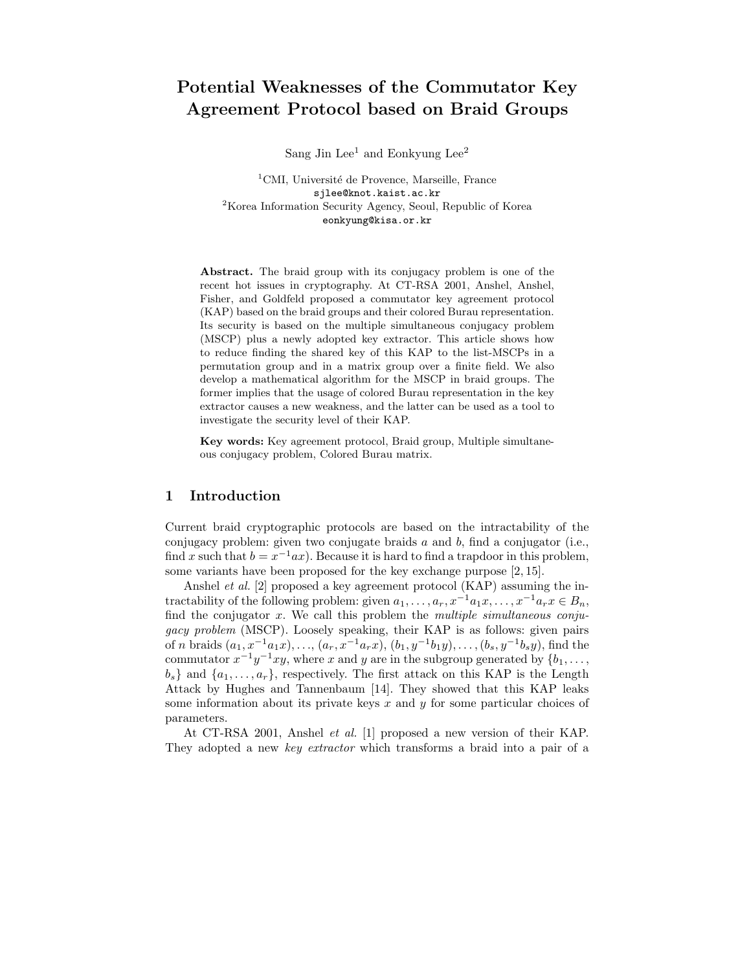# Potential Weaknesses of the Commutator Key Agreement Protocol based on Braid Groups

Sang Jin Lee<sup>1</sup> and Eonkyung Lee<sup>2</sup>

 ${}^{1}$ CMI, Université de Provence, Marseille, France sjlee@knot.kaist.ac.kr <sup>2</sup>Korea Information Security Agency, Seoul, Republic of Korea eonkyung@kisa.or.kr

Abstract. The braid group with its conjugacy problem is one of the recent hot issues in cryptography. At CT-RSA 2001, Anshel, Anshel, Fisher, and Goldfeld proposed a commutator key agreement protocol (KAP) based on the braid groups and their colored Burau representation. Its security is based on the multiple simultaneous conjugacy problem (MSCP) plus a newly adopted key extractor. This article shows how to reduce finding the shared key of this KAP to the list-MSCPs in a permutation group and in a matrix group over a finite field. We also develop a mathematical algorithm for the MSCP in braid groups. The former implies that the usage of colored Burau representation in the key extractor causes a new weakness, and the latter can be used as a tool to investigate the security level of their KAP.

Key words: Key agreement protocol, Braid group, Multiple simultaneous conjugacy problem, Colored Burau matrix.

### 1 Introduction

Current braid cryptographic protocols are based on the intractability of the conjugacy problem: given two conjugate braids  $a$  and  $b$ , find a conjugator (i.e., find x such that  $b = x^{-1}ax$ ). Because it is hard to find a trapdoor in this problem, some variants have been proposed for the key exchange purpose [2, 15].

Anshel et al. [2] proposed a key agreement protocol (KAP) assuming the intractability of the following problem: given  $a_1, \ldots, a_r, x^{-1}a_1x, \ldots, x^{-1}a_rx \in B_n$ , find the conjugator  $x$ . We call this problem the *multiple simultaneous conju*gacy problem (MSCP). Loosely speaking, their KAP is as follows: given pairs of *n* braids  $(a_1, x^{-1}a_1x), \ldots, (a_r, x^{-1}a_rx), (b_1, y^{-1}b_1y), \ldots, (b_s, y^{-1}b_sy),$  find the commutator  $x^{-1}y^{-1}xy$ , where x and y are in the subgroup generated by  $\{b_1, \ldots, b_n\}$  $b_s$  and  $\{a_1, \ldots, a_r\}$ , respectively. The first attack on this KAP is the Length Attack by Hughes and Tannenbaum [14]. They showed that this KAP leaks some information about its private keys  $x$  and  $y$  for some particular choices of parameters.

At CT-RSA 2001, Anshel et al. [1] proposed a new version of their KAP. They adopted a new key extractor which transforms a braid into a pair of a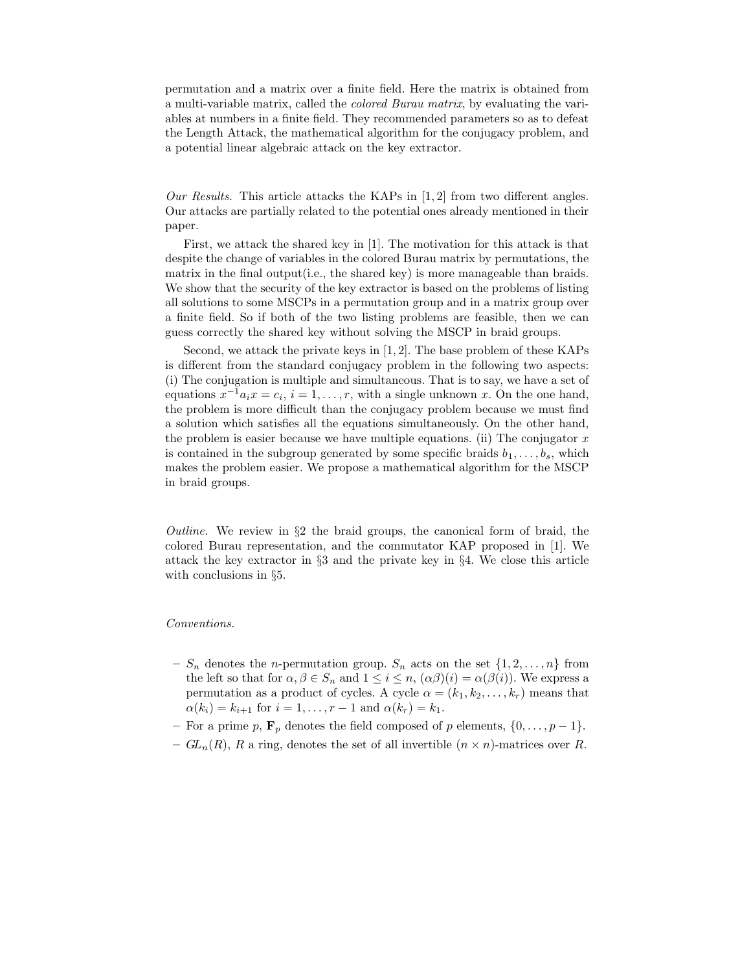permutation and a matrix over a finite field. Here the matrix is obtained from a multi-variable matrix, called the colored Burau matrix, by evaluating the variables at numbers in a finite field. They recommended parameters so as to defeat the Length Attack, the mathematical algorithm for the conjugacy problem, and a potential linear algebraic attack on the key extractor.

Our Results. This article attacks the KAPs in  $[1, 2]$  from two different angles. Our attacks are partially related to the potential ones already mentioned in their paper.

First, we attack the shared key in [1]. The motivation for this attack is that despite the change of variables in the colored Burau matrix by permutations, the matrix in the final output(i.e., the shared key) is more manageable than braids. We show that the security of the key extractor is based on the problems of listing all solutions to some MSCPs in a permutation group and in a matrix group over a finite field. So if both of the two listing problems are feasible, then we can guess correctly the shared key without solving the MSCP in braid groups.

Second, we attack the private keys in [1, 2]. The base problem of these KAPs is different from the standard conjugacy problem in the following two aspects: (i) The conjugation is multiple and simultaneous. That is to say, we have a set of equations  $x^{-1}a_ix = c_i$ ,  $i = 1, ..., r$ , with a single unknown x. On the one hand, the problem is more difficult than the conjugacy problem because we must find a solution which satisfies all the equations simultaneously. On the other hand, the problem is easier because we have multiple equations. (ii) The conjugator  $x$ is contained in the subgroup generated by some specific braids  $b_1, \ldots, b_s$ , which makes the problem easier. We propose a mathematical algorithm for the MSCP in braid groups.

Outline. We review in  $\S2$  the braid groups, the canonical form of braid, the colored Burau representation, and the commutator KAP proposed in [1]. We attack the key extractor in §3 and the private key in §4. We close this article with conclusions in §5.

#### Conventions.

- $S_n$  denotes the *n*-permutation group.  $S_n$  acts on the set  $\{1, 2, \ldots, n\}$  from the left so that for  $\alpha, \beta \in S_n$  and  $1 \leq i \leq n$ ,  $(\alpha \beta)(i) = \alpha(\beta(i))$ . We express a permutation as a product of cycles. A cycle  $\alpha = (k_1, k_2, \ldots, k_r)$  means that  $\alpha(k_i) = k_{i+1}$  for  $i = 1, ..., r - 1$  and  $\alpha(k_r) = k_1$ .
- For a prime p,  $\mathbf{F}_p$  denotes the field composed of p elements,  $\{0, \ldots, p-1\}$ .
- $GL_n(R)$ , R a ring, denotes the set of all invertible  $(n \times n)$ -matrices over R.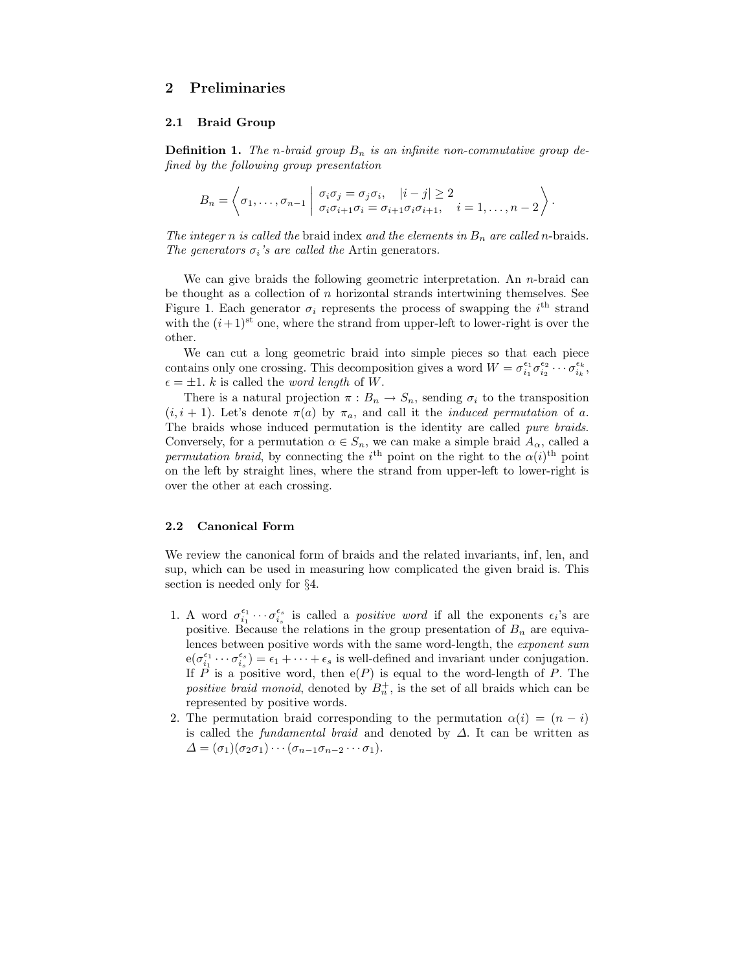# 2 Preliminaries

### 2.1 Braid Group

**Definition 1.** The n-braid group  $B_n$  is an infinite non-commutative group defined by the following group presentation

$$
B_n = \left\langle \sigma_1, \ldots, \sigma_{n-1} \mid \begin{array}{l} \sigma_i \sigma_j = \sigma_j \sigma_i, \quad |i-j| \geq 2 \\ \sigma_i \sigma_{i+1} \sigma_i = \sigma_{i+1} \sigma_i \sigma_{i+1}, \quad i = 1, \ldots, n-2 \end{array} \right\rangle.
$$

The integer n is called the braid index and the elements in  $B_n$  are called n-braids. The generators  $\sigma_i$ 's are called the Artin generators.

We can give braids the following geometric interpretation. An  $n$ -braid can be thought as a collection of  $n$  horizontal strands intertwining themselves. See Figure 1. Each generator  $\sigma_i$  represents the process of swapping the  $i^{\text{th}}$  strand with the  $(i+1)$ <sup>st</sup> one, where the strand from upper-left to lower-right is over the other.

We can cut a long geometric braid into simple pieces so that each piece contains only one crossing. This decomposition gives a word  $W = \sigma_{i_1}^{\epsilon_1} \sigma_{i_2}^{\epsilon_2} \cdots \sigma_{i_k}^{\epsilon_k}$ ,  $\epsilon = \pm 1$ . k is called the *word length* of W.

There is a natural projection  $\pi : B_n \to S_n$ , sending  $\sigma_i$  to the transposition  $(i, i + 1)$ . Let's denote  $\pi(a)$  by  $\pi_a$ , and call it the *induced permutation* of a. The braids whose induced permutation is the identity are called pure braids. Conversely, for a permutation  $\alpha \in S_n$ , we can make a simple braid  $A_\alpha$ , called a permutation braid, by connecting the i<sup>th</sup> point on the right to the  $\alpha(i)^{\text{th}}$  point on the left by straight lines, where the strand from upper-left to lower-right is over the other at each crossing.

### 2.2 Canonical Form

We review the canonical form of braids and the related invariants, inf, len, and sup, which can be used in measuring how complicated the given braid is. This section is needed only for §4.

- 1. A word  $\sigma_{i_1}^{\epsilon_1}\cdots\sigma_{i_s}^{\epsilon_s}$  is called a *positive word* if all the exponents  $\epsilon_i$ 's are positive. Because the relations in the group presentation of  $B_n$  are equivalences between positive words with the same word-length, the exponent sum  $e(\sigma_{i_1}^{\epsilon_1}\cdots\sigma_{i_s}^{\epsilon_s})=\epsilon_1+\cdots+\epsilon_s$  is well-defined and invariant under conjugation. If  $\overline{P}$  is a positive word, then  $e(P)$  is equal to the word-length of  $P$ . The positive braid monoid, denoted by  $B_n^+$ , is the set of all braids which can be represented by positive words.
- 2. The permutation braid corresponding to the permutation  $\alpha(i) = (n i)$ is called the *fundamental braid* and denoted by  $\Delta$ . It can be written as  $\Delta = (\sigma_1)(\sigma_2 \sigma_1) \cdots (\sigma_{n-1} \sigma_{n-2} \cdots \sigma_1).$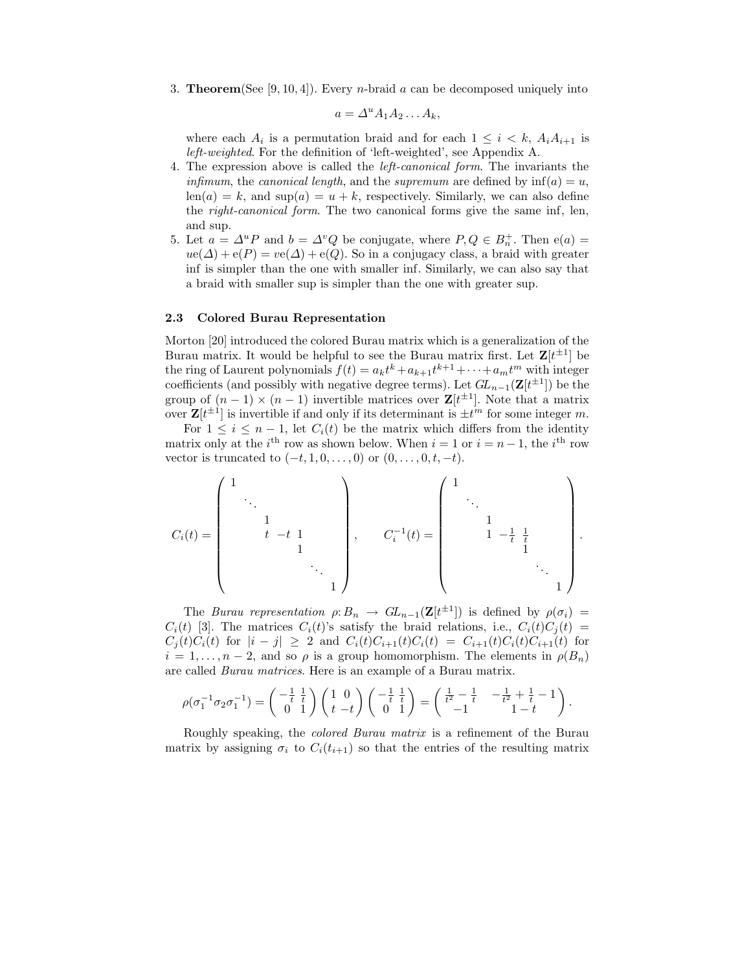3. **Theorem**(See [9, 10, 4]). Every *n*-braid a can be decomposed uniquely into

$$
a = \Delta^u A_1 A_2 \dots A_k,
$$

where each  $A_i$  is a permutation braid and for each  $1 \leq i \leq k$ ,  $A_i A_{i+1}$  is left-weighted. For the definition of 'left-weighted', see Appendix A.

- 4. The expression above is called the left-canonical form. The invariants the *infimum*, the *canonical length*, and the *supremum* are defined by  $\inf(a) = u$ ,  $len(a) = k$ , and  $sup(a) = u + k$ , respectively. Similarly, we can also define the right-canonical form. The two canonical forms give the same inf, len, and sup.
- 5. Let  $a = \Delta^u P$  and  $b = \Delta^v Q$  be conjugate, where  $P, Q \in B_n^+$ . Then  $e(a) =$  $ue(\Delta) + e(P) = ve(\Delta) + e(Q)$ . So in a conjugacy class, a braid with greater inf is simpler than the one with smaller inf. Similarly, we can also say that a braid with smaller sup is simpler than the one with greater sup.

#### 2.3 Colored Burau Representation

Morton [20] introduced the colored Burau matrix which is a generalization of the Burau matrix. It would be helpful to see the Burau matrix first. Let  $\mathbf{Z}[t^{\pm 1}]$  be the ring of Laurent polynomials  $f(t) = a_k t^k + a_{k+1} t^{k+1} + \cdots + a_m t^m$  with integer coefficients (and possibly with negative degree terms). Let  $GL_{n-1}(\mathbf{Z}[t^{\pm 1}])$  be the group of  $(n-1) \times (n-1)$  invertible matrices over  $\mathbf{Z}[t^{\pm 1}]$ . Note that a matrix over  $\mathbf{Z}[t^{\pm 1}]$  is invertible if and only if its determinant is  $\pm t^m$  for some integer m.

For  $1 \leq i \leq n-1$ , let  $C_i(t)$  be the matrix which differs from the identity matrix only at the  $i^{\text{th}}$  row as shown below. When  $i = 1$  or  $i = n - 1$ , the  $i^{\text{th}}$  row vector is truncated to  $(-t, 1, 0, \ldots, 0)$  or  $(0, \ldots, 0, t, -t)$ .

$$
C_i(t) = \begin{pmatrix} 1 & & & & & \\ & \ddots & & & & \\ & & 1 & & & \\ & & t & -t & 1 & \\ & & & & 1 & \\ & & & & & \ddots \\ & & & & & & 1 \end{pmatrix}, \qquad C_i^{-1}(t) = \begin{pmatrix} 1 & & & & & \\ & \ddots & & & & \\ & & 1 & -\frac{1}{t} & \frac{1}{t} & \\ & & 1 & -\frac{1}{t} & \frac{1}{t} & \\ & & & & 1 & \\ & & & & & \ddots \\ & & & & & & 1 \end{pmatrix}.
$$

The Burau representation  $\rho: B_n \to GL_{n-1}(\mathbf{Z}[t^{\pm 1}])$  is defined by  $\rho(\sigma_i) =$  $C_i(t)$  [3]. The matrices  $C_i(t)$ 's satisfy the braid relations, i.e.,  $C_i(t)C_i(t)$  =  $C_i(t)C_i(t)$  for  $|i-j| \geq 2$  and  $C_i(t)C_{i+1}(t)C_i(t) = C_{i+1}(t)C_i(t)C_{i+1}(t)$  for  $i = 1, \ldots, n-2$ , and so  $\rho$  is a group homomorphism. The elements in  $\rho(B_n)$ are called Burau matrices. Here is an example of a Burau matrix.

$$
\rho(\sigma_1^{-1}\sigma_2\sigma_1^{-1}) = \left(\begin{smallmatrix} -\frac{1}{t} & \frac{1}{t} \\ 0 & 1 \end{smallmatrix}\right) \left(\begin{smallmatrix} 1 & 0 \\ t & -t \end{smallmatrix}\right) \left(\begin{smallmatrix} -\frac{1}{t} & \frac{1}{t} \\ 0 & 1 \end{smallmatrix}\right) = \left(\begin{smallmatrix} \frac{1}{t^2} - \frac{1}{t} & -\frac{1}{t^2} + \frac{1}{t} - 1 \\ -1 & 1-t \end{smallmatrix}\right).
$$

Roughly speaking, the colored Burau matrix is a refinement of the Burau matrix by assigning  $\sigma_i$  to  $C_i(t_{i+1})$  so that the entries of the resulting matrix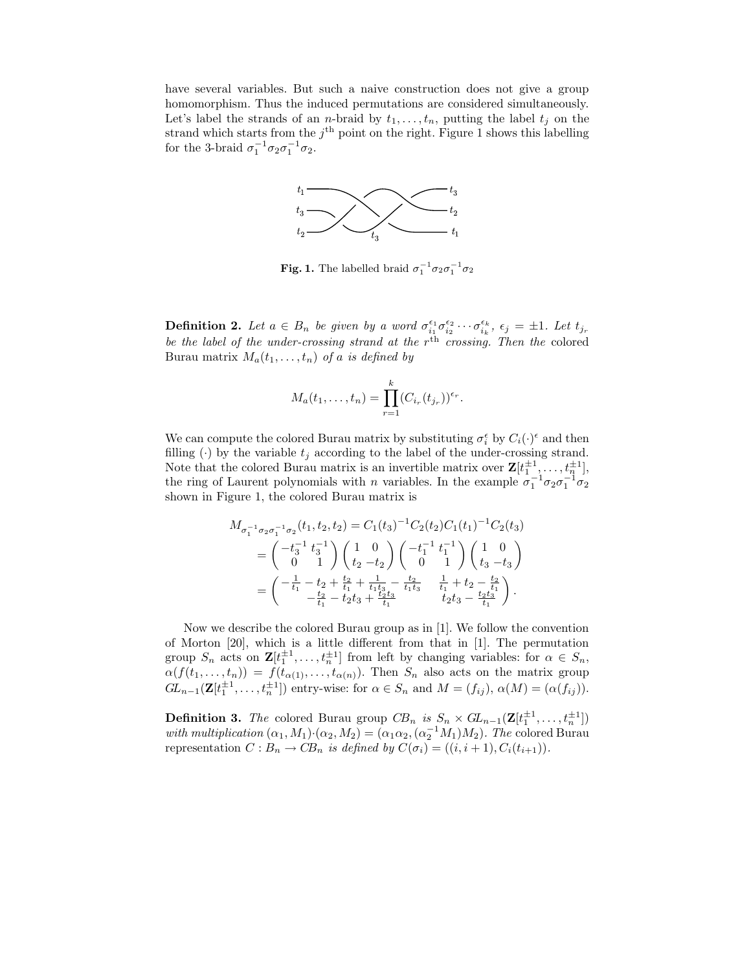have several variables. But such a naive construction does not give a group homomorphism. Thus the induced permutations are considered simultaneously. Let's label the strands of an *n*-braid by  $t_1, \ldots, t_n$ , putting the label  $t_j$  on the strand which starts from the  $j<sup>th</sup>$  point on the right. Figure 1 shows this labelling for the 3-braid  $\sigma_1^{-1} \sigma_2 \sigma_1^{-1} \sigma_2$ .



Fig. 1. The labelled braid  $\sigma_1^{-1} \sigma_2 \sigma_1^{-1} \sigma_2$ 

**Definition 2.** Let  $a \in B_n$  be given by a word  $\sigma_{i_1}^{\epsilon_1} \sigma_{i_2}^{\epsilon_2} \cdots \sigma_{i_k}^{\epsilon_k}$ ,  $\epsilon_j = \pm 1$ . Let  $t_{j_r}$ be the label of the under-crossing strand at the  $r<sup>th</sup>$  crossing. Then the colored Burau matrix  $M_a(t_1,\ldots,t_n)$  of a is defined by

$$
M_a(t_1,\ldots,t_n)=\prod_{r=1}^k (C_{i_r}(t_{j_r}))^{\epsilon_r}.
$$

We can compute the colored Burau matrix by substituting  $\sigma_i^{\epsilon}$  by  $C_i(\cdot)^{\epsilon}$  and then filling (·) by the variable  $t_i$  according to the label of the under-crossing strand. Note that the colored Burau matrix is an invertible matrix over  $\mathbf{Z}[t_1^{\pm 1}, \ldots, t_n^{\pm 1}],$ the ring of Laurent polynomials with *n* variables. In the example  $\sigma_1^{-1}\sigma_2\sigma_1^{-1}\sigma_2$ shown in Figure 1, the colored Burau matrix is

$$
M_{\sigma_1^{-1}\sigma_2\sigma_1^{-1}\sigma_2}(t_1, t_2, t_2) = C_1(t_3)^{-1}C_2(t_2)C_1(t_1)^{-1}C_2(t_3)
$$
  
=  $\begin{pmatrix} -t_3^{-1} t_3^{-1} \\ 0 & 1 \end{pmatrix} \begin{pmatrix} 1 & 0 \\ t_2 - t_2 \end{pmatrix} \begin{pmatrix} -t_1^{-1} t_1^{-1} \\ 0 & 1 \end{pmatrix} \begin{pmatrix} 1 & 0 \\ t_3 - t_3 \end{pmatrix}$   
=  $\begin{pmatrix} -\frac{1}{t_1} - t_2 + \frac{t_2}{t_1} + \frac{1}{t_1t_3} - \frac{t_2}{t_1t_3} & \frac{1}{t_1} + t_2 - \frac{t_2}{t_1} \\ -\frac{t_2}{t_1} - t_2t_3 + \frac{t_2t_3}{t_1} & t_2t_3 - \frac{t_2t_3}{t_1} \end{pmatrix}.$ 

Now we describe the colored Burau group as in [1]. We follow the convention of Morton [20], which is a little different from that in [1]. The permutation group  $S_n$  acts on  $\mathbf{Z}[t_1^{\pm 1},...,t_n^{\pm 1}]$  from left by changing variables: for  $\alpha \in S_n$ , group  $S_n$  acts on  $\mathbf{Z}[t_1, \ldots, t_n]$  from left by changing variables. For  $\alpha \in S_n$ ,<br>  $\alpha(f(t_1, \ldots, t_n)) = f(t_{\alpha(1)}, \ldots, t_{\alpha(n)})$ . Then  $S_n$  also acts on the matrix group  $GL_{n-1}(\mathbf{Z}[t_1^{\pm 1},...,t_n^{\pm 1}])$  entry-wise: for  $\alpha \in S_n$  and  $M = (f_{ij}), \alpha(M) = (\alpha(f_{ij})).$ 

**Definition 3.** The colored Burau group  $CB_n$  is  $S_n \times GL_{n-1}(\mathbf{Z}[t_1^{\pm 1},...,t_n^{\pm 1}])$ with multiplication  $(\alpha_1, M_1) \cdot (\alpha_2, M_2) = (\alpha_1 \alpha_2, (\alpha_2^{-1} M_1) M_2)$ . The colored Burau representation  $C : B_n \to CB_n$  is defined by  $C(\sigma_i) = ((i, i + 1), C_i(t_{i+1})).$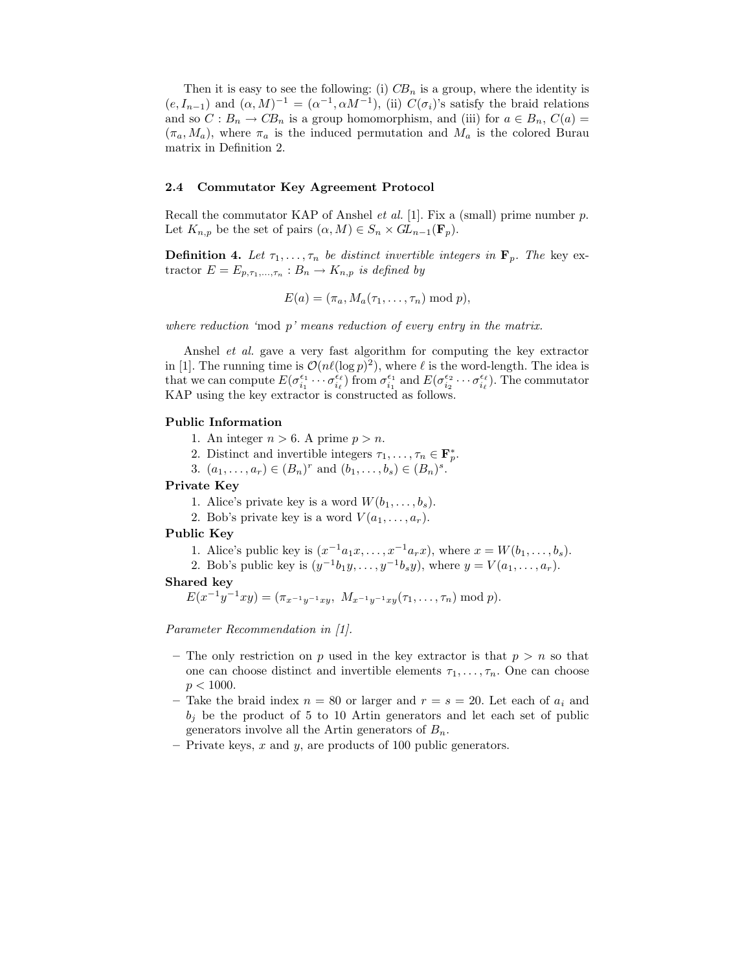Then it is easy to see the following: (i)  $CB_n$  is a group, where the identity is  $(e, I_{n-1})$  and  $(\alpha, M)^{-1} = (\alpha^{-1}, \alpha M^{-1}),$  (ii)  $C(\sigma_i)$ 's satisfy the braid relations and so  $C: B_n \to CB_n$  is a group homomorphism, and (iii) for  $a \in B_n$ ,  $C(a)$  $(\pi_a, M_a)$ , where  $\pi_a$  is the induced permutation and  $M_a$  is the colored Burau matrix in Definition 2.

### 2.4 Commutator Key Agreement Protocol

Recall the commutator KAP of Anshel et al. [1]. Fix a (small) prime number p. Let  $K_{n,p}$  be the set of pairs  $(\alpha, M) \in S_n \times GL_{n-1}(\mathbf{F}_p)$ .

**Definition 4.** Let  $\tau_1, \ldots, \tau_n$  be distinct invertible integers in  $\mathbf{F}_p$ . The key extractor  $E = E_{p,\tau_1,\dots,\tau_n} : B_n \to K_{n,p}$  is defined by

$$
E(a) = (\pi_a, M_a(\tau_1, \ldots, \tau_n) \bmod p),
$$

where reduction 'mod  $p'$  means reduction of every entry in the matrix.

Anshel et al. gave a very fast algorithm for computing the key extractor in [1]. The running time is  $\mathcal{O}(n\ell(\log p)^2)$ , where  $\ell$  is the word-length. The idea is that we can compute  $E(\sigma_{i_1}^{\epsilon_1} \cdots \sigma_{i_\ell}^{\epsilon_\ell})$  from  $\sigma_{i_1}^{\epsilon_1}$  and  $E(\sigma_{i_2}^{\epsilon_2} \cdots \sigma_{i_\ell}^{\epsilon_\ell})$ . The commutator KAP using the key extractor is constructed as follows.

### Public Information

- 1. An integer  $n > 6$ . A prime  $p > n$ .
- 2. Distinct and invertible integers  $\tau_1, \ldots, \tau_n \in \mathbf{F}_p^*$ .
- 3.  $(a_1, ..., a_r) \in (B_n)^r$  and  $(b_1, ..., b_s) \in (B_n)^s$ .

### Private Key

1. Alice's private key is a word  $W(b_1, \ldots, b_s)$ .

2. Bob's private key is a word  $V(a_1, \ldots, a_r)$ .

#### Public Key

- 1. Alice's public key is  $(x^{-1}a_1x, ..., x^{-1}a_rx)$ , where  $x = W(b_1, ..., b_s)$ .
- 2. Bob's public key is  $(y^{-1}b_1y, \ldots, y^{-1}b_sy)$ , where  $y = V(a_1, \ldots, a_r)$ .

#### Shared key

 $E(x^{-1}y^{-1}xy) = (\pi_{x^{-1}y^{-1}xy}, M_{x^{-1}y^{-1}xy}(\tau_1, \ldots, \tau_n) \bmod p).$ 

Parameter Recommendation in [1].

- The only restriction on p used in the key extractor is that  $p > n$  so that one can choose distinct and invertible elements  $\tau_1, \ldots, \tau_n$ . One can choose  $p < 1000$ .
- Take the braid index  $n = 80$  or larger and  $r = s = 20$ . Let each of  $a_i$  and  $b_i$  be the product of 5 to 10 Artin generators and let each set of public generators involve all the Artin generators of  $B_n$ .
- Private keys,  $x$  and  $y$ , are products of 100 public generators.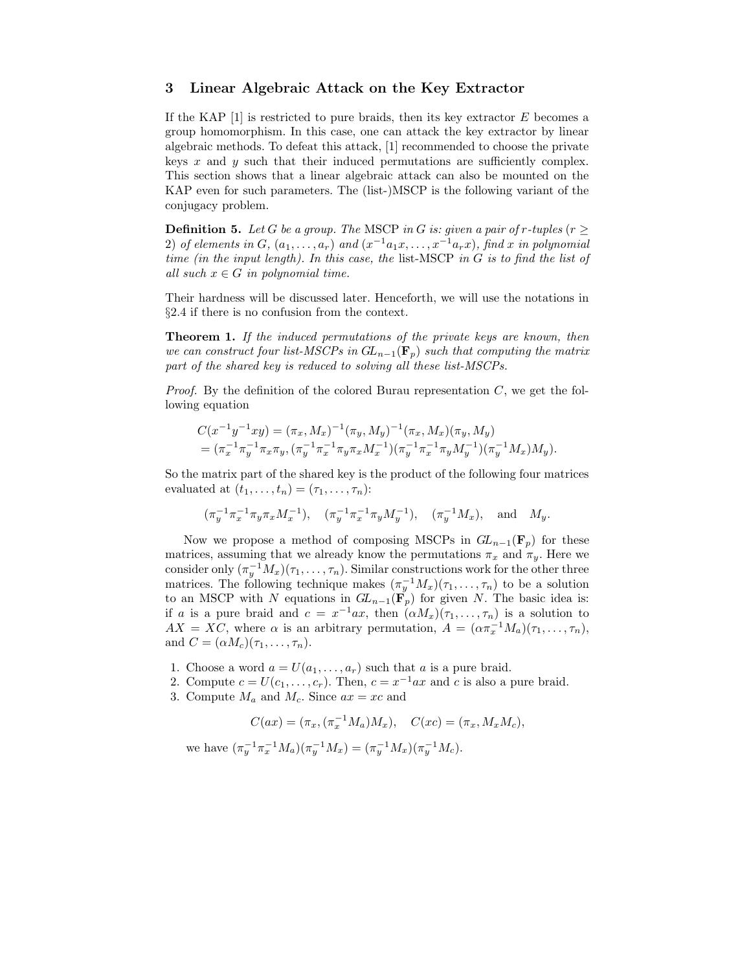### 3 Linear Algebraic Attack on the Key Extractor

If the KAP  $[1]$  is restricted to pure braids, then its key extractor E becomes a group homomorphism. In this case, one can attack the key extractor by linear algebraic methods. To defeat this attack, [1] recommended to choose the private keys  $x$  and  $y$  such that their induced permutations are sufficiently complex. This section shows that a linear algebraic attack can also be mounted on the KAP even for such parameters. The (list-)MSCP is the following variant of the conjugacy problem.

**Definition 5.** Let G be a group. The MSCP in G is: given a pair of r-tuples ( $r \geq$ 2) of elements in  $G$ ,  $(a_1, \ldots, a_r)$  and  $(x^{-1}a_1x, \ldots, x^{-1}a_rx)$ , find x in polynomial time (in the input length). In this case, the list-MSCP in  $G$  is to find the list of all such  $x \in G$  in polynomial time.

Their hardness will be discussed later. Henceforth, we will use the notations in §2.4 if there is no confusion from the context.

Theorem 1. If the induced permutations of the private keys are known, then we can construct four list-MSCPs in  $GL_{n-1}(\mathbf{F}_n)$  such that computing the matrix part of the shared key is reduced to solving all these list-MSCPs.

*Proof.* By the definition of the colored Burau representation  $C$ , we get the following equation

$$
C(x^{-1}y^{-1}xy) = (\pi_x, M_x)^{-1}(\pi_y, M_y)^{-1}(\pi_x, M_x)(\pi_y, M_y)
$$
  
=  $(\pi_x^{-1}\pi_y^{-1}\pi_x\pi_y, (\pi_y^{-1}\pi_x^{-1}\pi_y\pi_xM_x^{-1})(\pi_y^{-1}\pi_x^{-1}\pi_yM_y^{-1})(\pi_y^{-1}M_x)M_y).$ 

So the matrix part of the shared key is the product of the following four matrices evaluated at  $(t_1, \ldots, t_n) = (\tau_1, \ldots, \tau_n)$ :

$$
(\pi_y^{-1}\pi_x^{-1}\pi_y\pi_xM_x^{-1}), \quad (\pi_y^{-1}\pi_x^{-1}\pi_yM_y^{-1}), \quad (\pi_y^{-1}M_x), \quad \text{and} \quad M_y.
$$

Now we propose a method of composing MSCPs in  $GL_{n-1}(\mathbf{F}_p)$  for these matrices, assuming that we already know the permutations  $\pi_x$  and  $\pi_y$ . Here we consider only  $(\pi_y^{-1}M_x)(\tau_1,\ldots,\tau_n)$ . Similar constructions work for the other three matrices. The following technique makes  $(\pi_y^{-1}M_x)(\tau_1,\ldots,\tau_n)$  to be a solution to an MSCP with N equations in  $GL_{n-1}(\mathbf{F}_p)$  for given N. The basic idea is: if a is a pure braid and  $c = x^{-1}ax$ , then  $(\alpha M_x)(\tau_1, \ldots, \tau_n)$  is a solution to  $AX = XC$ , where  $\alpha$  is an arbitrary permutation,  $A = (\alpha \pi_x^{-1} M_a)(\tau_1, \ldots, \tau_n)$ , and  $C = (\alpha M_c)(\tau_1, \ldots, \tau_n).$ 

- 1. Choose a word  $a = U(a_1, \ldots, a_r)$  such that a is a pure braid.
- 2. Compute  $c = U(c_1, \ldots, c_r)$ . Then,  $c = x^{-1}ax$  and c is also a pure braid.
- 3. Compute  $M_a$  and  $M_c$ . Since  $ax = xc$  and

$$
C(ax) = (\pi_x, (\pi_x^{-1}M_a)M_x), \quad C(xc) = (\pi_x, M_xM_c),
$$

we have  $(\pi_y^{-1}\pi_x^{-1}M_a)(\pi_y^{-1}M_x) = (\pi_y^{-1}M_x)(\pi_y^{-1}M_c).$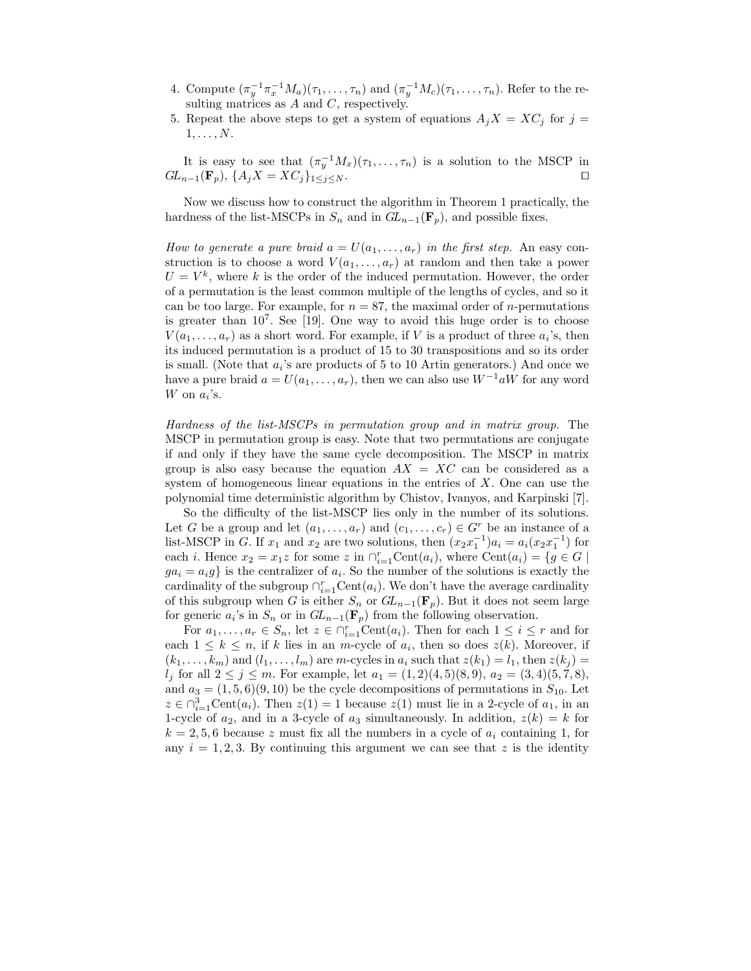- 4. Compute  $(\pi_y^{-1}\pi_x^{-1}M_a)(\tau_1,\ldots,\tau_n)$  and  $(\pi_y^{-1}M_c)(\tau_1,\ldots,\tau_n)$ . Refer to the resulting matrices as  $A$  and  $C$ , respectively.
- 5. Repeat the above steps to get a system of equations  $A_iX = XC_i$  for  $j =$  $1, \ldots, N$ .

It is easy to see that 
$$
(\pi_y^{-1}M_x)(\tau_1,\ldots,\tau_n)
$$
 is a solution to the MSCP in  $GL_{n-1}(\mathbf{F}_p)$ ,  $\{A_jX = XC_j\}_{1 \leq j \leq N}$ .

Now we discuss how to construct the algorithm in Theorem 1 practically, the hardness of the list-MSCPs in  $S_n$  and in  $GL_{n-1}(\mathbf{F}_n)$ , and possible fixes.

How to generate a pure braid  $a = U(a_1, \ldots, a_r)$  in the first step. An easy construction is to choose a word  $V(a_1, \ldots, a_r)$  at random and then take a power  $U = V^k$ , where k is the order of the induced permutation. However, the order of a permutation is the least common multiple of the lengths of cycles, and so it can be too large. For example, for  $n = 87$ , the maximal order of *n*-permutations is greater than  $10^7$ . See [19]. One way to avoid this huge order is to choose  $V(a_1, \ldots, a_r)$  as a short word. For example, if V is a product of three  $a_i$ 's, then its induced permutation is a product of 15 to 30 transpositions and so its order is small. (Note that  $a_i$ 's are products of 5 to 10 Artin generators.) And once we have a pure braid  $a = U(a_1, \ldots, a_r)$ , then we can also use  $W^{-1}aW$  for any word W on  $a_i$ 's.

Hardness of the list-MSCPs in permutation group and in matrix group. The MSCP in permutation group is easy. Note that two permutations are conjugate if and only if they have the same cycle decomposition. The MSCP in matrix group is also easy because the equation  $AX = XC$  can be considered as a system of homogeneous linear equations in the entries of  $X$ . One can use the polynomial time deterministic algorithm by Chistov, Ivanyos, and Karpinski [7].

So the difficulty of the list-MSCP lies only in the number of its solutions. Let G be a group and let  $(a_1, \ldots, a_r)$  and  $(c_1, \ldots, c_r) \in G^r$  be an instance of a list-MSCP in G. If  $x_1$  and  $x_2$  are two solutions, then  $(x_2x_1^{-1})a_i = a_i(x_2x_1^{-1})$  for each *i*. Hence  $x_2 = x_1z$  for some z in  $\bigcap_{i=1}^r \text{Cent}(a_i)$ , where  $\text{Cent}(a_i) = \{g \in G \mid$  $ga_i = a_i g$  is the centralizer of  $a_i$ . So the number of the solutions is exactly the cardinality of the subgroup  $\cap_{i=1}^r \text{Cent}(a_i)$ . We don't have the average cardinality of this subgroup when G is either  $S_n$  or  $GL_{n-1}(\mathbf{F}_p)$ . But it does not seem large for generic  $a_i$ 's in  $S_n$  or in  $GL_{n-1}(\mathbf{F}_p)$  from the following observation.

For  $a_1, \ldots, a_r \in S_n$ , let  $z \in \bigcap_{i=1}^r \text{Cent}(a_i)$ . Then for each  $1 \leq i \leq r$  and for each  $1 \leq k \leq n$ , if k lies in an m-cycle of  $a_i$ , then so does  $z(k)$ . Moreover, if  $(k_1, \ldots, k_m)$  and  $(l_1, \ldots, l_m)$  are m-cycles in  $a_i$  such that  $z(k_1) = l_1$ , then  $z(k_j) =$  $l_j$  for all  $2 \le j \le m$ . For example, let  $a_1 = (1, 2)(4, 5)(8, 9), a_2 = (3, 4)(5, 7, 8),$ and  $a_3 = (1, 5, 6)(9, 10)$  be the cycle decompositions of permutations in  $S_{10}$ . Let  $z \in \bigcap_{i=1}^3 \text{Cent}(a_i)$ . Then  $z(1) = 1$  because  $z(1)$  must lie in a 2-cycle of  $a_1$ , in an 1-cycle of  $a_2$ , and in a 3-cycle of  $a_3$  simultaneously. In addition,  $z(k) = k$  for  $k = 2, 5, 6$  because z must fix all the numbers in a cycle of  $a_i$  containing 1, for any  $i = 1, 2, 3$ . By continuing this argument we can see that z is the identity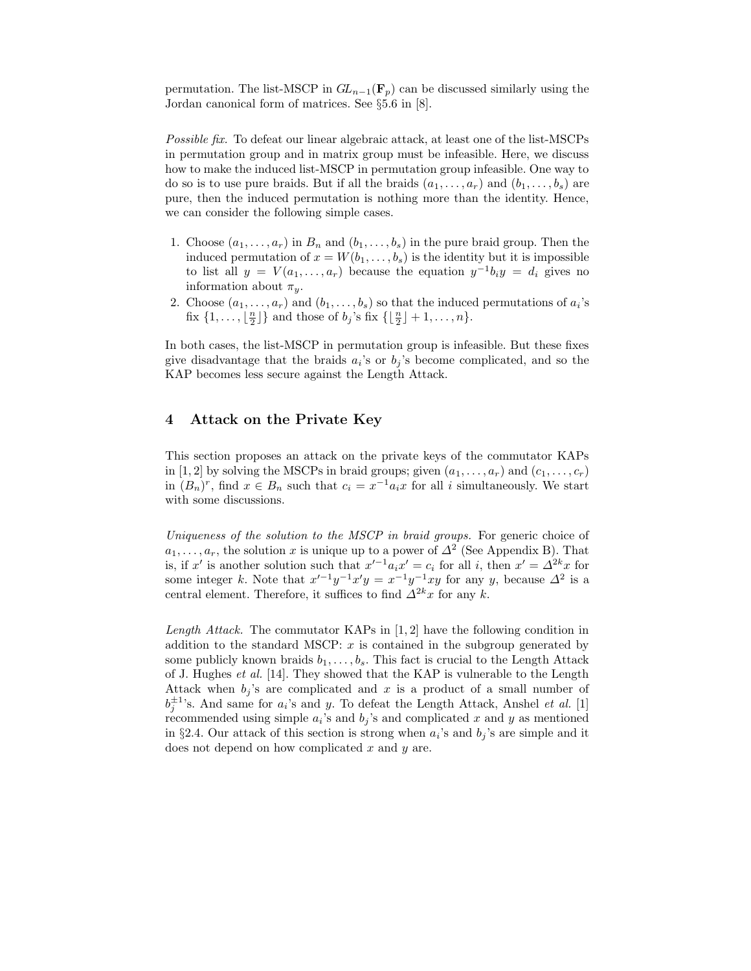permutation. The list-MSCP in  $GL_{n-1}(\mathbf{F}_p)$  can be discussed similarly using the Jordan canonical form of matrices. See §5.6 in [8].

Possible fix. To defeat our linear algebraic attack, at least one of the list-MSCPs in permutation group and in matrix group must be infeasible. Here, we discuss how to make the induced list-MSCP in permutation group infeasible. One way to do so is to use pure braids. But if all the braids  $(a_1, \ldots, a_r)$  and  $(b_1, \ldots, b_s)$  are pure, then the induced permutation is nothing more than the identity. Hence, we can consider the following simple cases.

- 1. Choose  $(a_1, \ldots, a_r)$  in  $B_n$  and  $(b_1, \ldots, b_s)$  in the pure braid group. Then the induced permutation of  $x = W(b_1, \ldots, b_s)$  is the identity but it is impossible to list all  $y = V(a_1, \ldots, a_r)$  because the equation  $y^{-1}b_iy = d_i$  gives no information about  $\pi_y$ .
- 2. Choose  $(a_1, \ldots, a_r)$  and  $(b_1, \ldots, b_s)$  so that the induced permutations of  $a_i$ 's fix  $\{1, \ldots, \lfloor \frac{n}{2} \rfloor\}$  and those of  $b_j$ 's fix  $\{\lfloor \frac{n}{2} \rfloor + 1, \ldots, n\}$ .

In both cases, the list-MSCP in permutation group is infeasible. But these fixes give disadvantage that the braids  $a_i$ 's or  $b_j$ 's become complicated, and so the KAP becomes less secure against the Length Attack.

### 4 Attack on the Private Key

This section proposes an attack on the private keys of the commutator KAPs in [1, 2] by solving the MSCPs in braid groups; given  $(a_1, \ldots, a_r)$  and  $(c_1, \ldots, c_r)$ in  $(B_n)^r$ , find  $x \in B_n$  such that  $c_i = x^{-1}a_ix$  for all i simultaneously. We start with some discussions.

Uniqueness of the solution to the MSCP in braid groups. For generic choice of  $a_1, \ldots, a_r$ , the solution x is unique up to a power of  $\Delta^2$  (See Appendix B). That is, if x' is another solution such that  $x'^{-1}a_ix' = c_i$  for all i, then  $x' = \Delta^{2k}x$  for some integer k. Note that  $x'^{-1}y^{-1}x'y = x^{-1}y^{-1}xy$  for any y, because  $\Delta^2$  is a central element. Therefore, it suffices to find  $\Delta^{2k}x$  for any k.

*Length Attack.* The commutator KAPs in  $[1, 2]$  have the following condition in addition to the standard MSCP:  $x$  is contained in the subgroup generated by some publicly known braids  $b_1, \ldots, b_s$ . This fact is crucial to the Length Attack of J. Hughes et al. [14]. They showed that the KAP is vulnerable to the Length Attack when  $b_j$ 's are complicated and x is a product of a small number of  $b_j^{\pm 1}$ 's. And same for  $a_i$ 's and y. To defeat the Length Attack, Anshel et al. [1] recommended using simple  $a_i$ 's and  $b_j$ 's and complicated x and y as mentioned in §2.4. Our attack of this section is strong when  $a_i$ 's and  $b_j$ 's are simple and it does not depend on how complicated  $x$  and  $y$  are.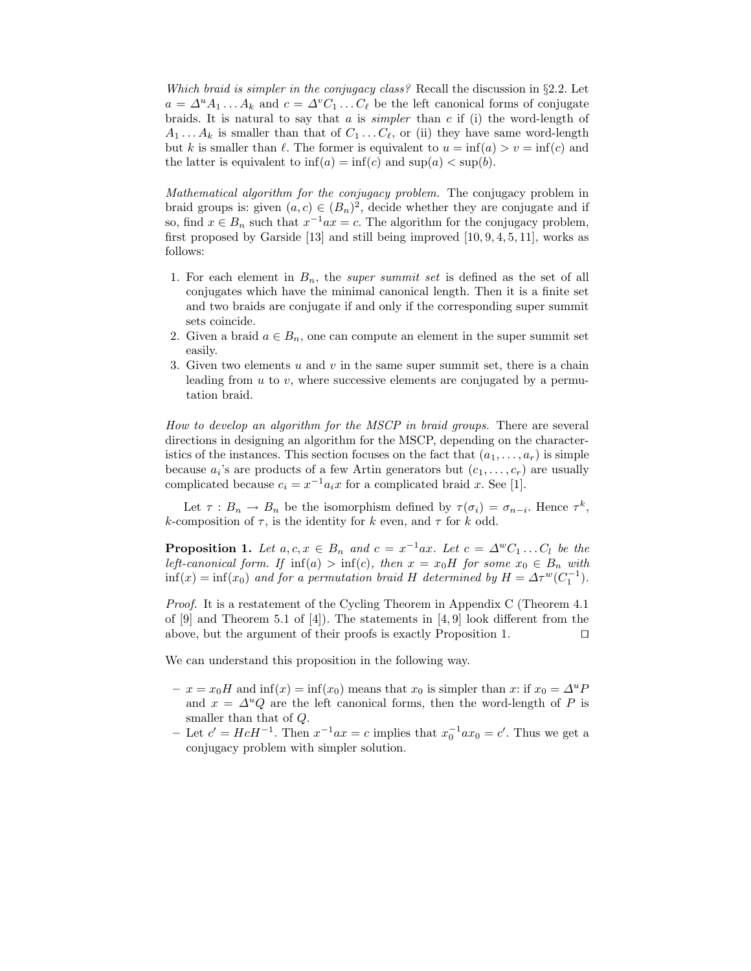Which braid is simpler in the conjugacy class? Recall the discussion in  $\S 2.2$ . Let  $a = \Delta^u A_1 \dots A_k$  and  $c = \Delta^v C_1 \dots C_\ell$  be the left canonical forms of conjugate braids. It is natural to say that  $a$  is *simpler* than  $c$  if (i) the word-length of  $A_1 \ldots A_k$  is smaller than that of  $C_1 \ldots C_{\ell}$ , or (ii) they have same word-length but k is smaller than  $\ell$ . The former is equivalent to  $u = \inf(a) > v = \inf(c)$  and the latter is equivalent to  $\inf(a) = \inf(c)$  and  $\sup(a) < \sup(b)$ .

Mathematical algorithm for the conjugacy problem. The conjugacy problem in braid groups is: given  $(a, c) \in (B_n)^2$ , decide whether they are conjugate and if so, find  $x \in B_n$  such that  $x^{-1}ax = c$ . The algorithm for the conjugacy problem, first proposed by Garside  $[13]$  and still being improved  $[10, 9, 4, 5, 11]$ , works as follows:

- 1. For each element in  $B_n$ , the *super summit set* is defined as the set of all conjugates which have the minimal canonical length. Then it is a finite set and two braids are conjugate if and only if the corresponding super summit sets coincide.
- 2. Given a braid  $a \in B_n$ , one can compute an element in the super summit set easily.
- 3. Given two elements  $u$  and  $v$  in the same super summit set, there is a chain leading from  $u$  to  $v$ , where successive elements are conjugated by a permutation braid.

How to develop an algorithm for the MSCP in braid groups. There are several directions in designing an algorithm for the MSCP, depending on the characteristics of the instances. This section focuses on the fact that  $(a_1, \ldots, a_r)$  is simple because  $a_i$ 's are products of a few Artin generators but  $(c_1, \ldots, c_r)$  are usually complicated because  $c_i = x^{-1} a_i x$  for a complicated braid x. See [1].

Let  $\tau : B_n \to B_n$  be the isomorphism defined by  $\tau(\sigma_i) = \sigma_{n-i}$ . Hence  $\tau^k$ , k-composition of  $\tau$ , is the identity for k even, and  $\tau$  for k odd.

**Proposition 1.** Let  $a, c, x \in B_n$  and  $c = x^{-1}ax$ . Let  $c = \Delta^w C_1 \dots C_l$  be the left-canonical form. If  $inf(a) > inf(c)$ , then  $x = x_0H$  for some  $x_0 \in B_n$  with  $\inf(x) = \inf(x_0)$  and for a permutation braid H determined by  $H = \Delta \tau^w (C_1^{-1})$ .

Proof. It is a restatement of the Cycling Theorem in Appendix C (Theorem 4.1 of [9] and Theorem 5.1 of [4]). The statements in [4, 9] look different from the above, but the argument of their proofs is exactly Proposition 1.  $\Box$ 

We can understand this proposition in the following way.

- $x = x_0H$  and  $\inf(x) = \inf(x_0)$  means that  $x_0$  is simpler than x: if  $x_0 = \Delta^u P$ and  $x = \Delta^u Q$  are the left canonical forms, then the word-length of P is smaller than that of Q.
- − Let  $c' = HcH^{-1}$ . Then  $x^{-1}ax = c$  implies that  $x_0^{-1}ax_0 = c'$ . Thus we get a conjugacy problem with simpler solution.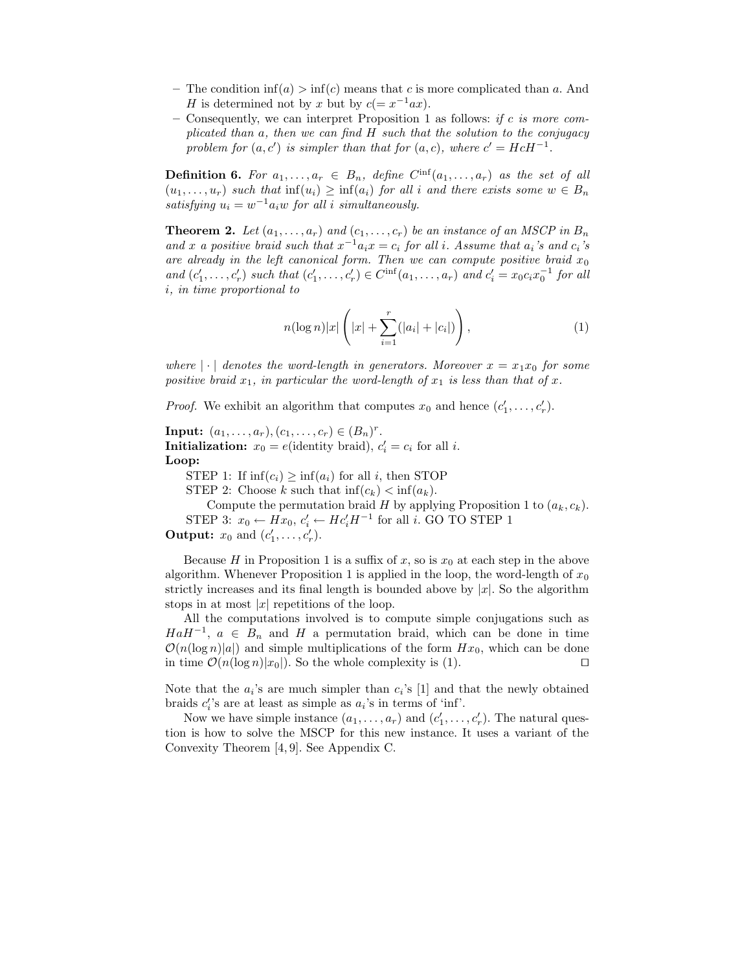- The condition  $\inf(a) > \inf(c)$  means that c is more complicated than a. And H is determined not by x but by  $c(=x^{-1}ax)$ .
- Consequently, we can interpret Proposition 1 as follows: if c is more complicated than a, then we can find H such that the solution to the conjugacy problem for  $(a, c')$  is simpler than that for  $(a, c)$ , where  $c' = HcH^{-1}$ .

**Definition 6.** For  $a_1, \ldots, a_r \in B_n$ , define  $C^{\inf}(a_1, \ldots, a_r)$  as the set of all  $(u_1, \ldots, u_r)$  such that  $\inf(u_i) \ge \inf(a_i)$  for all i and there exists some  $w \in B_n$ satisfying  $u_i = w^{-1} a_i w$  for all i simultaneously.

**Theorem 2.** Let  $(a_1, \ldots, a_r)$  and  $(c_1, \ldots, c_r)$  be an instance of an MSCP in  $B_n$ and x a positive braid such that  $x^{-1}a_ix = c_i$  for all i. Assume that  $a_i$ 's and  $c_i$ 's are already in the left canonical form. Then we can compute positive braid  $x_0$ and  $(c'_1, \ldots, c'_r)$  such that  $(c'_1, \ldots, c'_r) \in C^{\text{inf}}(a_1, \ldots, a_r)$  and  $c'_i = x_0 c_i x_0^{-1}$  for all i, in time proportional to

$$
n(\log n)|x|\left(|x|+\sum_{i=1}^r(|a_i|+|c_i|)\right),\tag{1}
$$

where  $\vert \cdot \vert$  denotes the word-length in generators. Moreover  $x = x_1x_0$  for some positive braid  $x_1$ , in particular the word-length of  $x_1$  is less than that of x.

*Proof.* We exhibit an algorithm that computes  $x_0$  and hence  $(c'_1, \ldots, c'_r)$ .

**Input:**  $(a_1, ..., a_r), (c_1, ..., c_r) \in (B_n)^r$ . **Initialization:**  $x_0 = e$ (identity braid),  $c'_i = c_i$  for all *i*. Loop:

STEP 1: If  $\inf(c_i) \ge \inf(a_i)$  for all i, then STOP

STEP 2: Choose k such that  $\inf(c_k) < \inf(a_k)$ .

Compute the permutation braid H by applying Proposition 1 to  $(a_k, c_k)$ . STEP 3:  $x_0 \leftarrow Hx_0, c'_i \leftarrow Hc'_i H^{-1}$  for all *i*. GO TO STEP 1 **Output:**  $x_0$  and  $(c'_1, \ldots, c'_r)$ .

Because H in Proposition 1 is a suffix of x, so is  $x_0$  at each step in the above algorithm. Whenever Proposition 1 is applied in the loop, the word-length of  $x_0$ strictly increases and its final length is bounded above by  $|x|$ . So the algorithm stops in at most  $|x|$  repetitions of the loop.

All the computations involved is to compute simple conjugations such as  $HaH^{-1}$ ,  $a \in B_n$  and H a permutation braid, which can be done in time  $\mathcal{O}(n(\log n)|a|)$  and simple multiplications of the form  $Hx_0$ , which can be done in time  $\mathcal{O}(n(\log n)|x_0|)$ . So the whole complexity is (1).

Note that the  $a_i$ 's are much simpler than  $c_i$ 's [1] and that the newly obtained braids  $c_i$ 's are at least as simple as  $a_i$ 's in terms of 'inf'.

Now we have simple instance  $(a_1, \ldots, a_r)$  and  $(c'_1, \ldots, c'_r)$ . The natural question is how to solve the MSCP for this new instance. It uses a variant of the Convexity Theorem [4, 9]. See Appendix C.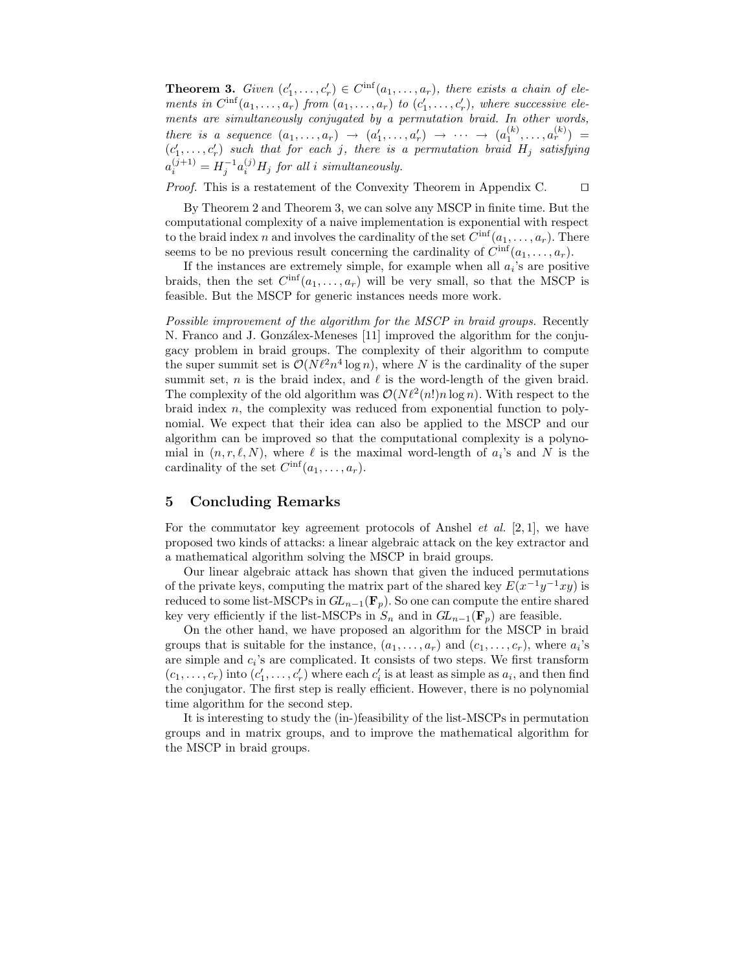**Theorem 3.** Given  $(c'_1, \ldots, c'_r) \in C^{\text{inf}}(a_1, \ldots, a_r)$ , there exists a chain of elements in  $C^{inf}(a_1,\ldots,a_r)$  from  $(a_1,\ldots,a_r)$  to  $(c'_1,\ldots,c'_r)$ , where successive elements are simultaneously conjugated by a permutation braid. In other words, there is a sequence  $(a_1,\ldots,a_r) \rightarrow (a'_1,\ldots,a'_r) \rightarrow \cdots \rightarrow (a_1^{(k)},\ldots,a_r^{(k)}) =$  $(c'_1, \ldots, c'_r)$  such that for each j, there is a permutation braid  $H_j$  satisfying  $a_i^{(j+1)} = H_j^{-1} a_i^{(j)} H_j$  for all i simultaneously.

*Proof.* This is a restatement of the Convexity Theorem in Appendix C.  $\Box$ 

By Theorem 2 and Theorem 3, we can solve any MSCP in finite time. But the computational complexity of a naive implementation is exponential with respect to the braid index n and involves the cardinality of the set  $C^{\inf}(a_1, \ldots, a_r)$ . There seems to be no previous result concerning the cardinality of  $C^{\inf}(a_1,\ldots,a_r)$ .

If the instances are extremely simple, for example when all  $a_i$ 's are positive braids, then the set  $C^{\text{inf}}(a_1, \ldots, a_r)$  will be very small, so that the MSCP is feasible. But the MSCP for generic instances needs more work.

Possible improvement of the algorithm for the MSCP in braid groups. Recently N. Franco and J. Gonzálex-Meneses [11] improved the algorithm for the conjugacy problem in braid groups. The complexity of their algorithm to compute the super summit set is  $\mathcal{O}(N\ell^2 n^4 \log n)$ , where N is the cardinality of the super summit set, *n* is the braid index, and  $\ell$  is the word-length of the given braid. The complexity of the old algorithm was  $\mathcal{O}(N\ell^2(n!)n \log n)$ . With respect to the braid index  $n$ , the complexity was reduced from exponential function to polynomial. We expect that their idea can also be applied to the MSCP and our algorithm can be improved so that the computational complexity is a polynomial in  $(n, r, \ell, N)$ , where  $\ell$  is the maximal word-length of  $a_i$ 's and N is the cardinality of the set  $C^{\inf}(a_1,\ldots,a_r)$ .

## 5 Concluding Remarks

For the commutator key agreement protocols of Anshel *et al.*  $[2, 1]$ , we have proposed two kinds of attacks: a linear algebraic attack on the key extractor and a mathematical algorithm solving the MSCP in braid groups.

Our linear algebraic attack has shown that given the induced permutations of the private keys, computing the matrix part of the shared key  $E(x^{-1}y^{-1}xy)$  is reduced to some list-MSCPs in  $GL_{n-1}(\mathbf{F}_p)$ . So one can compute the entire shared key very efficiently if the list-MSCPs in  $S_n$  and in  $GL_{n-1}(\mathbf{F}_p)$  are feasible.

On the other hand, we have proposed an algorithm for the MSCP in braid groups that is suitable for the instance,  $(a_1, \ldots, a_r)$  and  $(c_1, \ldots, c_r)$ , where  $a_i$ 's are simple and  $c_i$ 's are complicated. It consists of two steps. We first transform  $(c_1, \ldots, c_r)$  into  $(c'_1, \ldots, c'_r)$  where each  $c'_i$  is at least as simple as  $a_i$ , and then find the conjugator. The first step is really efficient. However, there is no polynomial time algorithm for the second step.

It is interesting to study the (in-)feasibility of the list-MSCPs in permutation groups and in matrix groups, and to improve the mathematical algorithm for the MSCP in braid groups.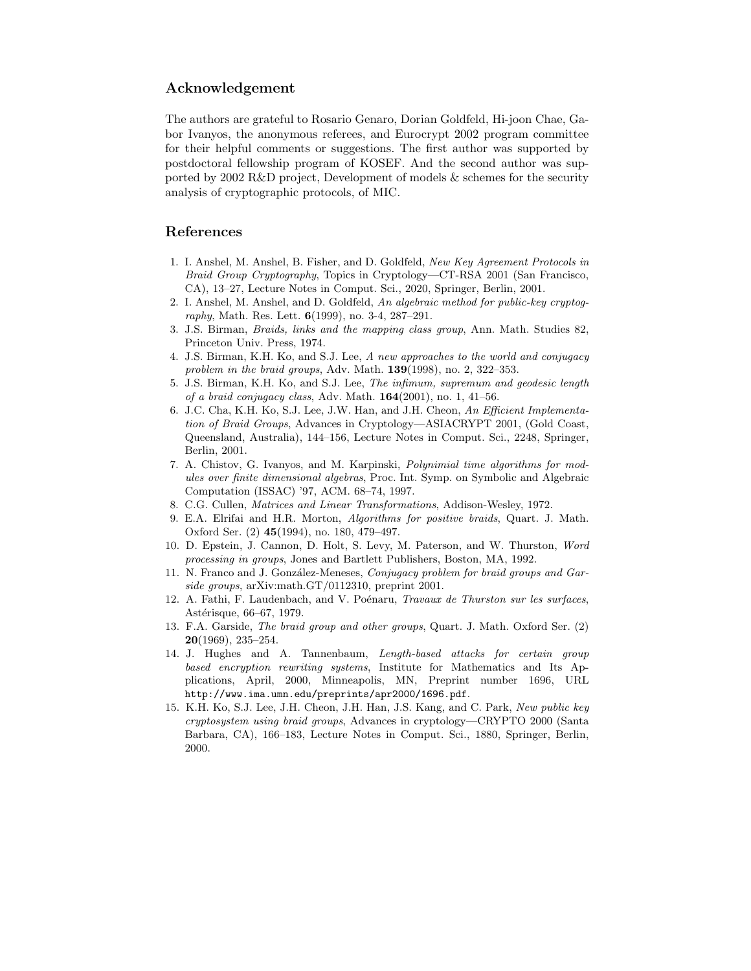### Acknowledgement

The authors are grateful to Rosario Genaro, Dorian Goldfeld, Hi-joon Chae, Gabor Ivanyos, the anonymous referees, and Eurocrypt 2002 program committee for their helpful comments or suggestions. The first author was supported by postdoctoral fellowship program of KOSEF. And the second author was supported by 2002 R&D project, Development of models & schemes for the security analysis of cryptographic protocols, of MIC.

### References

- 1. I. Anshel, M. Anshel, B. Fisher, and D. Goldfeld, New Key Agreement Protocols in Braid Group Cryptography, Topics in Cryptology—CT-RSA 2001 (San Francisco, CA), 13–27, Lecture Notes in Comput. Sci., 2020, Springer, Berlin, 2001.
- 2. I. Anshel, M. Anshel, and D. Goldfeld, An algebraic method for public-key cryptography, Math. Res. Lett.  $6(1999)$ , no. 3-4, 287-291.
- 3. J.S. Birman, Braids, links and the mapping class group, Ann. Math. Studies 82, Princeton Univ. Press, 1974.
- 4. J.S. Birman, K.H. Ko, and S.J. Lee, A new approaches to the world and conjugacy problem in the braid groups, Adv. Math. **139**(1998), no. 2, 322-353.
- 5. J.S. Birman, K.H. Ko, and S.J. Lee, The infimum, supremum and geodesic length of a braid conjugacy class, Adv. Math.  $164(2001)$ , no. 1, 41-56.
- 6. J.C. Cha, K.H. Ko, S.J. Lee, J.W. Han, and J.H. Cheon, An Efficient Implementation of Braid Groups, Advances in Cryptology—ASIACRYPT 2001, (Gold Coast, Queensland, Australia), 144–156, Lecture Notes in Comput. Sci., 2248, Springer, Berlin, 2001.
- 7. A. Chistov, G. Ivanyos, and M. Karpinski, Polynimial time algorithms for modules over finite dimensional algebras, Proc. Int. Symp. on Symbolic and Algebraic Computation (ISSAC) '97, ACM. 68–74, 1997.
- 8. C.G. Cullen, Matrices and Linear Transformations, Addison-Wesley, 1972.
- 9. E.A. Elrifai and H.R. Morton, Algorithms for positive braids, Quart. J. Math. Oxford Ser. (2) 45(1994), no. 180, 479–497.
- 10. D. Epstein, J. Cannon, D. Holt, S. Levy, M. Paterson, and W. Thurston, Word processing in groups, Jones and Bartlett Publishers, Boston, MA, 1992.
- 11. N. Franco and J. González-Meneses, Conjugacy problem for braid groups and Garside groups, arXiv:math.GT/0112310, preprint 2001.
- 12. A. Fathi, F. Laudenbach, and V. Poénaru, Travaux de Thurston sur les surfaces, Astérisque, 66–67, 1979.
- 13. F.A. Garside, The braid group and other groups, Quart. J. Math. Oxford Ser. (2) 20(1969), 235–254.
- 14. J. Hughes and A. Tannenbaum, Length-based attacks for certain group based encryption rewriting systems, Institute for Mathematics and Its Applications, April, 2000, Minneapolis, MN, Preprint number 1696, URL http://www.ima.umn.edu/preprints/apr2000/1696.pdf.
- 15. K.H. Ko, S.J. Lee, J.H. Cheon, J.H. Han, J.S. Kang, and C. Park, New public key cryptosystem using braid groups, Advances in cryptology—CRYPTO 2000 (Santa Barbara, CA), 166–183, Lecture Notes in Comput. Sci., 1880, Springer, Berlin, 2000.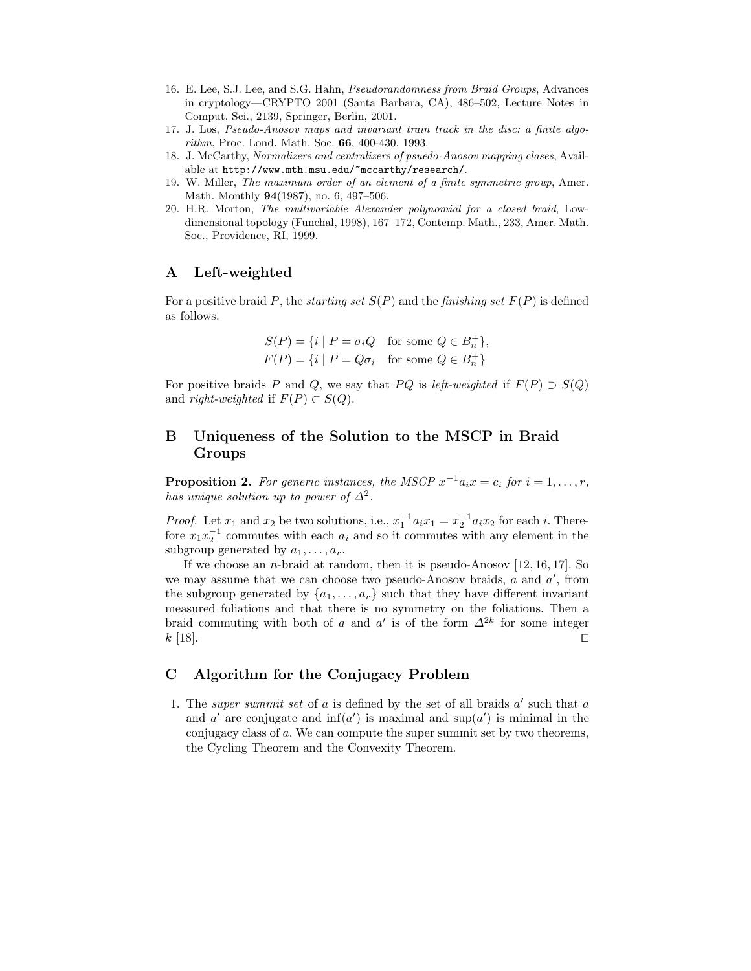- 16. E. Lee, S.J. Lee, and S.G. Hahn, Pseudorandomness from Braid Groups, Advances in cryptology—CRYPTO 2001 (Santa Barbara, CA), 486–502, Lecture Notes in Comput. Sci., 2139, Springer, Berlin, 2001.
- 17. J. Los, Pseudo-Anosov maps and invariant train track in the disc: a finite algorithm, Proc. Lond. Math. Soc. 66, 400-430, 1993.
- 18. J. McCarthy, Normalizers and centralizers of psuedo-Anosov mapping clases, Available at http://www.mth.msu.edu/~mccarthy/research/.
- 19. W. Miller, The maximum order of an element of a finite symmetric group, Amer. Math. Monthly 94(1987), no. 6, 497–506.
- 20. H.R. Morton, The multivariable Alexander polynomial for a closed braid, Lowdimensional topology (Funchal, 1998), 167–172, Contemp. Math., 233, Amer. Math. Soc., Providence, RI, 1999.

# A Left-weighted

For a positive braid P, the *starting set*  $S(P)$  and the *finishing set*  $F(P)$  is defined as follows.

$$
S(P) = \{i \mid P = \sigma_i Q \text{ for some } Q \in B_n^+\},
$$
  

$$
F(P) = \{i \mid P = Q\sigma_i \text{ for some } Q \in B_n^+\}
$$

For positive braids P and Q, we say that PQ is left-weighted if  $F(P) \supset S(Q)$ and *right-weighted* if  $F(P) \subset S(Q)$ .

# B Uniqueness of the Solution to the MSCP in Braid Groups

**Proposition 2.** For generic instances, the MSCP  $x^{-1}a_ix = c_i$  for  $i = 1, ..., r$ , has unique solution up to power of  $\Delta^2$ .

*Proof.* Let  $x_1$  and  $x_2$  be two solutions, i.e.,  $x_1^{-1}a_ix_1 = x_2^{-1}a_ix_2$  for each i. Therefore  $x_1x_2^{-1}$  commutes with each  $a_i$  and so it commutes with any element in the subgroup generated by  $a_1, \ldots, a_r$ .

If we choose an *n*-braid at random, then it is pseudo-Anosov  $[12, 16, 17]$ . So we may assume that we can choose two pseudo-Anosov braids,  $a$  and  $a'$ , from the subgroup generated by  $\{a_1, \ldots, a_r\}$  such that they have different invariant measured foliations and that there is no symmetry on the foliations. Then a braid commuting with both of a and a' is of the form  $\Delta^{2k}$  for some integer  $k$  [18].

# C Algorithm for the Conjugacy Problem

1. The super summit set of  $a$  is defined by the set of all braids  $a'$  such that  $a$ and a' are conjugate and  $inf(a')$  is maximal and  $sup(a')$  is minimal in the conjugacy class of a. We can compute the super summit set by two theorems, the Cycling Theorem and the Convexity Theorem.